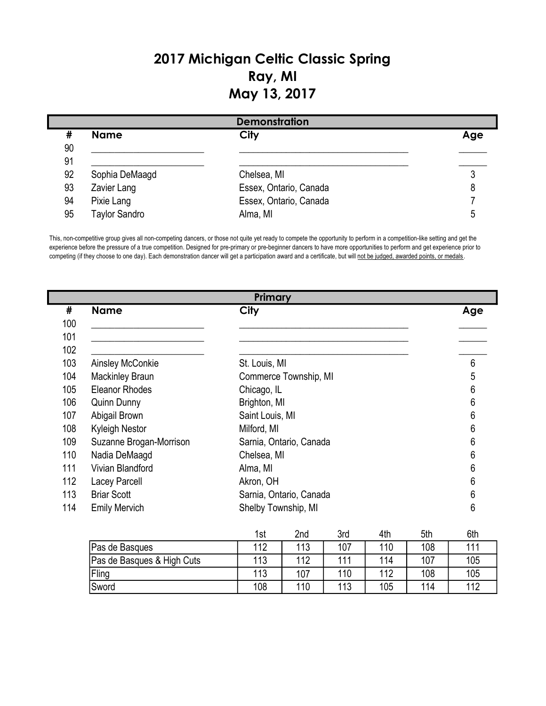## 2017 Michigan Celtic Classic Spring Ray, MI May 13, 2017

|    |                      | <b>Demonstration</b>   |     |
|----|----------------------|------------------------|-----|
| #  | <b>Name</b>          | City                   | Age |
| 90 |                      |                        |     |
| 91 |                      |                        |     |
| 92 | Sophia DeMaagd       | Chelsea, MI            |     |
| 93 | Zavier Lang          | Essex, Ontario, Canada |     |
| 94 | Pixie Lang           | Essex, Ontario, Canada |     |
| 95 | <b>Taylor Sandro</b> | Alma, MI               | ე   |

This, non-competitive group gives all non-competing dancers, or those not quite yet ready to compete the opportunity to perform in a competition-like setting and get the experience before the pressure of a true competition. Designed for pre-primary or pre-beginner dancers to have more opportunities to perform and get experience prior to competing (if they choose to one day). Each demonstration dancer will get a participation award and a certificate, but will not be judged, awarded points, or medals.

|     |                         | Primary                 |     |
|-----|-------------------------|-------------------------|-----|
| #   | <b>Name</b>             | City                    | Age |
| 100 |                         |                         |     |
| 101 |                         |                         |     |
| 102 |                         |                         |     |
| 103 | Ainsley McConkie        | St. Louis, MI           | 6   |
| 104 | <b>Mackinley Braun</b>  | Commerce Township, MI   | 5   |
| 105 | <b>Eleanor Rhodes</b>   | Chicago, IL             | 6   |
| 106 | <b>Quinn Dunny</b>      | Brighton, MI            | 6   |
| 107 | Abigail Brown           | Saint Louis, MI         | 6   |
| 108 | <b>Kyleigh Nestor</b>   | Milford, MI             | 6   |
| 109 | Suzanne Brogan-Morrison | Sarnia, Ontario, Canada | 6   |
| 110 | Nadia DeMaagd           | Chelsea, MI             | 6   |
| 111 | Vivian Blandford        | Alma, MI                | 6   |
| 112 | Lacey Parcell           | Akron, OH               | 6   |
| 113 | <b>Briar Scott</b>      | Sarnia, Ontario, Canada | 6   |
| 114 | <b>Emily Mervich</b>    | Shelby Township, MI     | 6   |
|     |                         |                         |     |

|                            | 1st | 2nd | 3rd | 4th | 5th | 6th |
|----------------------------|-----|-----|-----|-----|-----|-----|
| Pas de Basques             | 112 | 113 | 107 | 110 | 108 | 111 |
| Pas de Basques & High Cuts | 113 | 112 | 111 | 114 | 107 | 105 |
| Fling                      | 113 | 107 | 110 | 112 | 108 | 105 |
| <b>Sword</b>               | 108 | 110 | 113 | 105 | 114 | 112 |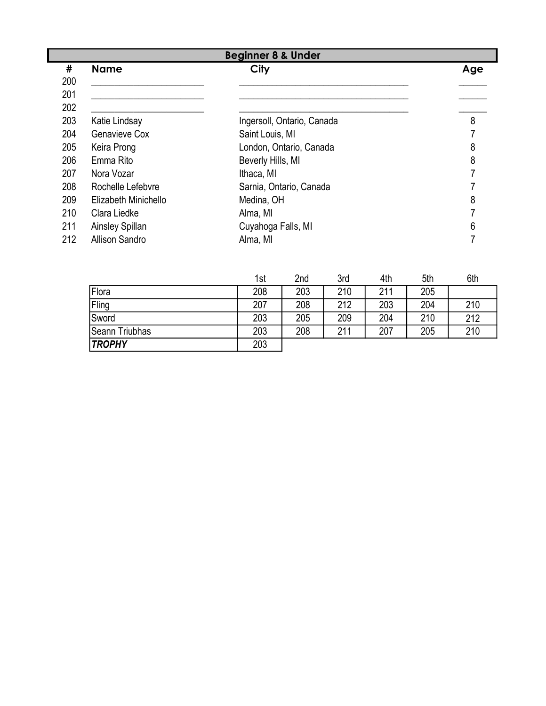|     | <b>Beginner 8 &amp; Under</b> |                            |     |  |  |  |  |
|-----|-------------------------------|----------------------------|-----|--|--|--|--|
| #   | <b>Name</b>                   | City                       | Age |  |  |  |  |
| 200 |                               |                            |     |  |  |  |  |
| 201 |                               |                            |     |  |  |  |  |
| 202 |                               |                            |     |  |  |  |  |
| 203 | Katie Lindsay                 | Ingersoll, Ontario, Canada | 8   |  |  |  |  |
| 204 | Genavieve Cox                 | Saint Louis, MI            |     |  |  |  |  |
| 205 | Keira Prong                   | London, Ontario, Canada    | 8   |  |  |  |  |
| 206 | Emma Rito                     | Beverly Hills, MI          | 8   |  |  |  |  |
| 207 | Nora Vozar                    | Ithaca, MI                 |     |  |  |  |  |
| 208 | Rochelle Lefebvre             | Sarnia, Ontario, Canada    |     |  |  |  |  |
| 209 | Elizabeth Minichello          | Medina, OH                 | 8   |  |  |  |  |
| 210 | Clara Liedke                  | Alma, MI                   |     |  |  |  |  |
| 211 | Ainsley Spillan               | Cuyahoga Falls, MI         | 6   |  |  |  |  |
| 212 | <b>Allison Sandro</b>         | Alma, MI                   |     |  |  |  |  |

|                | 1st | 2nd | 3rd | 4th | 5th | 6th |
|----------------|-----|-----|-----|-----|-----|-----|
| <b>Flora</b>   | 208 | 203 | 210 | 211 | 205 |     |
| Fling          | 207 | 208 | 212 | 203 | 204 | 210 |
| Sword          | 203 | 205 | 209 | 204 | 210 | 212 |
| Seann Triubhas | 203 | 208 | 211 | 207 | 205 | 210 |
| <b>TROPHY</b>  | 203 |     |     |     |     |     |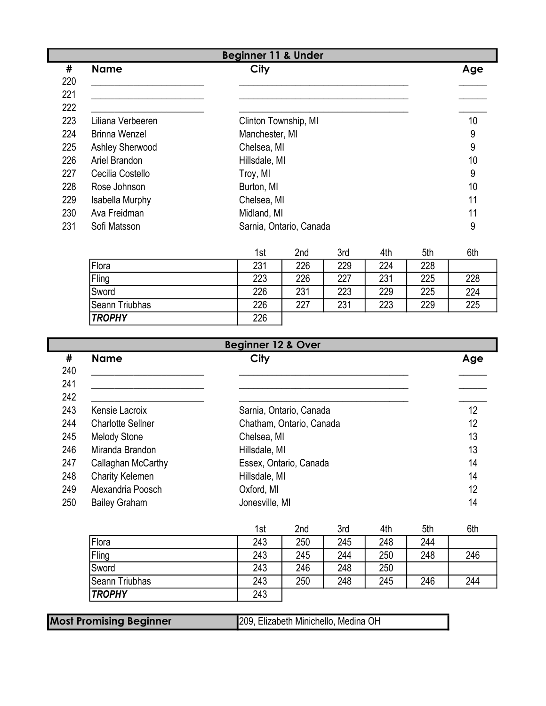| <b>Beginner 11 &amp; Under</b> |                      |                                              |     |  |  |
|--------------------------------|----------------------|----------------------------------------------|-----|--|--|
| #                              | <b>Name</b>          | City                                         | Age |  |  |
| 220                            |                      |                                              |     |  |  |
| 221                            |                      |                                              |     |  |  |
| 222                            |                      |                                              |     |  |  |
| 223                            | Liliana Verbeeren    | Clinton Township, MI                         | 10  |  |  |
| 224                            | <b>Brinna Wenzel</b> | Manchester, MI                               | 9   |  |  |
| 225                            | Ashley Sherwood      | Chelsea, MI                                  | 9   |  |  |
| 226                            | Ariel Brandon        | Hillsdale, MI                                | 10  |  |  |
| 227                            | Cecilia Costello     | Troy, MI                                     | 9   |  |  |
| 228                            | Rose Johnson         | Burton, MI                                   | 10  |  |  |
| 229                            | Isabella Murphy      | Chelsea, MI                                  | 11  |  |  |
| 230                            | Ava Freidman         | Midland, MI                                  | 11  |  |  |
| 231                            | Sofi Matsson         | Sarnia, Ontario, Canada                      | 9   |  |  |
|                                |                      | $Q = -1$<br>ALL<br>$4 - 1$<br>المده<br>E Ale | C1L |  |  |

|                | 1st | 2nd | 3rd | 4th | 5th | 6th |
|----------------|-----|-----|-----|-----|-----|-----|
| Flora          | 231 | 226 | 229 | 224 | 228 |     |
| Fling          | 223 | 226 | 227 | 231 | 225 | 228 |
| <b>Sword</b>   | 226 | 231 | 223 | 229 | 225 | 224 |
| Seann Triubhas | 226 | 227 | 231 | 223 | 229 | 225 |
| <b>TROPHY</b>  | 226 |     |     |     |     |     |

|     | <b>Beginner 12 &amp; Over</b> |                          |     |  |  |  |  |
|-----|-------------------------------|--------------------------|-----|--|--|--|--|
| #   | <b>Name</b>                   | City                     | Age |  |  |  |  |
| 240 |                               |                          |     |  |  |  |  |
| 241 |                               |                          |     |  |  |  |  |
| 242 |                               |                          |     |  |  |  |  |
| 243 | Kensie Lacroix                | Sarnia, Ontario, Canada  | 12  |  |  |  |  |
| 244 | <b>Charlotte Sellner</b>      | Chatham, Ontario, Canada | 12  |  |  |  |  |
| 245 | <b>Melody Stone</b>           | Chelsea, MI              | 13  |  |  |  |  |
| 246 | Miranda Brandon               | Hillsdale, MI            | 13  |  |  |  |  |
| 247 | Callaghan McCarthy            | Essex, Ontario, Canada   | 14  |  |  |  |  |
| 248 | <b>Charity Kelemen</b>        | Hillsdale, MI            | 14  |  |  |  |  |
| 249 | Alexandria Poosch             | Oxford, MI               | 12  |  |  |  |  |
| 250 | <b>Bailey Graham</b>          | Jonesville, MI           | 14  |  |  |  |  |

|                       | 1st | 2nd | 3rd | 4th | 5th | 6th |
|-----------------------|-----|-----|-----|-----|-----|-----|
| Flora                 | 243 | 250 | 245 | 248 | 244 |     |
| Fling                 | 243 | 245 | 244 | 250 | 248 | 246 |
| Sword                 | 243 | 246 | 248 | 250 |     |     |
| <b>Seann Triubhas</b> | 243 | 250 | 248 | 245 | 246 | 244 |
| <b>TROPHY</b>         | 243 |     |     |     |     |     |

Most Promising Beginner 209, Elizabeth Minichello, Medina OH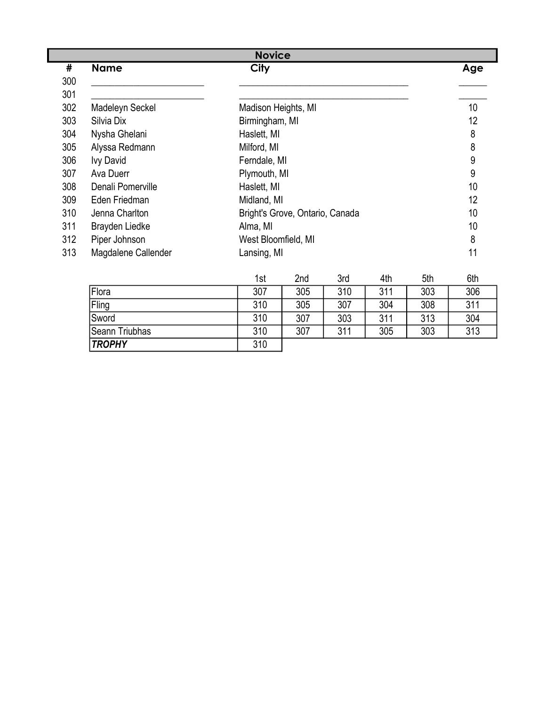|     | <b>Novice</b>       |                                 |                 |  |  |  |  |
|-----|---------------------|---------------------------------|-----------------|--|--|--|--|
| #   | <b>Name</b>         | City                            | Age             |  |  |  |  |
| 300 |                     |                                 |                 |  |  |  |  |
| 301 |                     |                                 |                 |  |  |  |  |
| 302 | Madeleyn Seckel     | Madison Heights, MI             | 10 <sup>°</sup> |  |  |  |  |
| 303 | Silvia Dix          | Birmingham, MI                  | 12              |  |  |  |  |
| 304 | Nysha Ghelani       | Haslett, MI                     | 8               |  |  |  |  |
| 305 | Alyssa Redmann      | Milford, MI                     | 8               |  |  |  |  |
| 306 | <b>Ivy David</b>    | Ferndale, MI                    | 9               |  |  |  |  |
| 307 | Ava Duerr           | Plymouth, MI                    | 9               |  |  |  |  |
| 308 | Denali Pomerville   | Haslett, MI                     | 10              |  |  |  |  |
| 309 | Eden Friedman       | Midland, MI                     | 12              |  |  |  |  |
| 310 | Jenna Charlton      | Bright's Grove, Ontario, Canada | 10              |  |  |  |  |
| 311 | Brayden Liedke      | Alma, MI                        | 10              |  |  |  |  |
| 312 | Piper Johnson       | West Bloomfield, MI             | 8               |  |  |  |  |
| 313 | Magdalene Callender | Lansing, MI                     | 11              |  |  |  |  |

|                       | 1st | 2nd | 3rd | 4th | 5th | 6th |
|-----------------------|-----|-----|-----|-----|-----|-----|
| Flora                 | 307 | 305 | 310 | 311 | 303 | 306 |
| Fling                 | 310 | 305 | 307 | 304 | 308 | 311 |
| <b>Sword</b>          | 310 | 307 | 303 | 311 | 313 | 304 |
| <b>Seann Triubhas</b> | 310 | 307 | 311 | 305 | 303 | 313 |
| <b>TROPHY</b>         | 310 |     |     |     |     |     |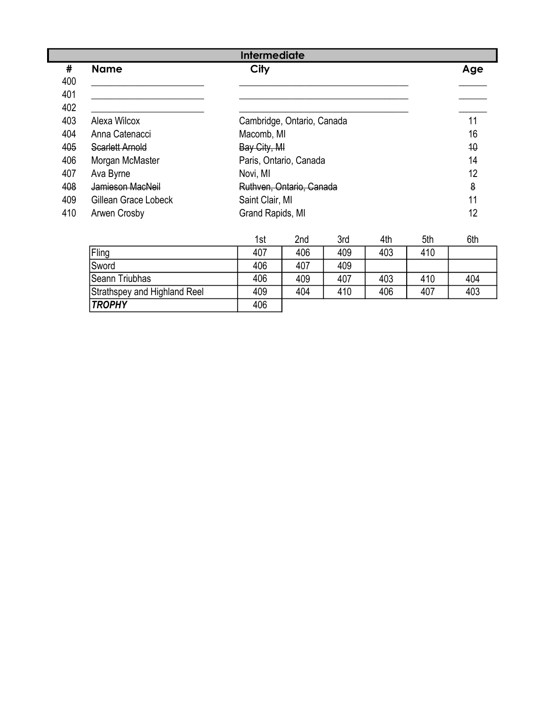|     | <b>Intermediate</b>  |                  |                            |     |     |     |     |  |
|-----|----------------------|------------------|----------------------------|-----|-----|-----|-----|--|
| #   | <b>Name</b>          | City             |                            |     |     |     | Age |  |
| 400 |                      |                  |                            |     |     |     |     |  |
| 401 |                      |                  |                            |     |     |     |     |  |
| 402 |                      |                  |                            |     |     |     |     |  |
| 403 | Alexa Wilcox         |                  | Cambridge, Ontario, Canada |     |     |     |     |  |
| 404 | Anna Catenacci       |                  | Macomb, MI                 |     |     |     |     |  |
| 405 | Scarlett Arnold      | Bay City, MI     |                            |     |     |     | 10  |  |
| 406 | Morgan McMaster      |                  | Paris, Ontario, Canada     |     |     |     | 14  |  |
| 407 | Ava Byrne            | Novi, MI         |                            |     |     |     | 12  |  |
| 408 | Jamieson MacNeil     |                  | Ruthven, Ontario, Canada   |     |     |     | 8   |  |
| 409 | Gillean Grace Lobeck |                  | Saint Clair, MI            |     |     |     |     |  |
| 410 | Arwen Crosby         | Grand Rapids, MI |                            |     | 12  |     |     |  |
|     |                      | 1st              | 2nd                        | 3rd | 4th | 5th | 6th |  |

|                              | וטו | ZHU | υıu | 4u i | JUL | vui |
|------------------------------|-----|-----|-----|------|-----|-----|
| Fling                        | 407 | 406 | 409 | 403  | 410 |     |
| Sword                        | 406 | 407 | 409 |      |     |     |
| Seann Triubhas               | 406 | 409 | 407 | 403  | 410 | 404 |
| Strathspey and Highland Reel | 409 | 404 | 410 | 406  | 407 | 403 |
| <b>TROPHY</b>                | 406 |     |     |      |     |     |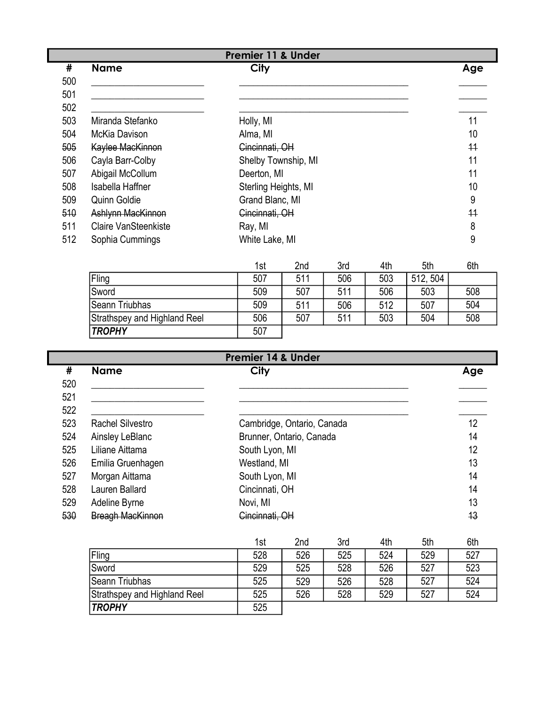|     | <b>Premier 11 &amp; Under</b> |                      |     |  |  |  |
|-----|-------------------------------|----------------------|-----|--|--|--|
| #   | <b>Name</b>                   | City                 | Age |  |  |  |
| 500 |                               |                      |     |  |  |  |
| 501 |                               |                      |     |  |  |  |
| 502 |                               |                      |     |  |  |  |
| 503 | Miranda Stefanko              | Holly, MI            | 11  |  |  |  |
| 504 | McKia Davison                 | Alma, MI             | 10  |  |  |  |
| 505 | Kaylee MacKinnon              | Cincinnati, OH       | 11  |  |  |  |
| 506 | Cayla Barr-Colby              | Shelby Township, MI  | 11  |  |  |  |
| 507 | Abigail McCollum              | Deerton, MI          | 11  |  |  |  |
| 508 | Isabella Haffner              | Sterling Heights, MI | 10  |  |  |  |
| 509 | Quinn Goldie                  | Grand Blanc, MI      | 9   |  |  |  |
| 510 | <b>Ashlynn MacKinnon</b>      | Cincinnati, OH       | 11  |  |  |  |
| 511 | <b>Claire VanSteenkiste</b>   | Ray, MI              | 8   |  |  |  |
| 512 | Sophia Cummings               | White Lake, MI       | 9   |  |  |  |

|                              | 1st | 2nd | 3rd | 4th | 5th      | 6th |
|------------------------------|-----|-----|-----|-----|----------|-----|
| Fling                        | 507 | 511 | 506 | 503 | 512, 504 |     |
| Sword                        | 509 | 507 | 511 | 506 | 503      | 508 |
| Seann Triubhas               | 509 | 511 | 506 | 512 | 507      | 504 |
| Strathspey and Highland Reel | 506 | 507 | 511 | 503 | 504      | 508 |
| <b>TROPHY</b>                | 507 |     |     |     |          |     |

| <b>Premier 14 &amp; Under</b> |                         |                            |     |  |  |
|-------------------------------|-------------------------|----------------------------|-----|--|--|
| #                             | <b>Name</b>             | City                       | Age |  |  |
| 520                           |                         |                            |     |  |  |
| 521                           |                         |                            |     |  |  |
| 522                           |                         |                            |     |  |  |
| 523                           | <b>Rachel Silvestro</b> | Cambridge, Ontario, Canada | 12  |  |  |
| 524                           | Ainsley LeBlanc         | Brunner, Ontario, Canada   | 14  |  |  |
| 525                           | Liliane Aittama         | South Lyon, MI             | 12  |  |  |
| 526                           | Emilia Gruenhagen       | Westland, MI               | 13  |  |  |
| 527                           | Morgan Aittama          | South Lyon, MI             | 14  |  |  |
| 528                           | Lauren Ballard          | Cincinnati, OH             | 14  |  |  |
| 529                           | Adeline Byrne           | Novi, MI                   | 13  |  |  |
| 530                           | <b>Breagh MacKinnon</b> | Cincinnati, OH             | 13  |  |  |

|                              | 1st | 2 <sub>nd</sub> | 3rd | 4th | 5th | 6th |
|------------------------------|-----|-----------------|-----|-----|-----|-----|
| Fling                        | 528 | 526             | 525 | 524 | 529 | 527 |
| Sword                        | 529 | 525             | 528 | 526 | 527 | 523 |
| Seann Triubhas               | 525 | 529             | 526 | 528 | 527 | 524 |
| Strathspey and Highland Reel | 525 | 526             | 528 | 529 | 527 | 524 |
| <b>TROPHY</b>                | 525 |                 |     |     |     |     |